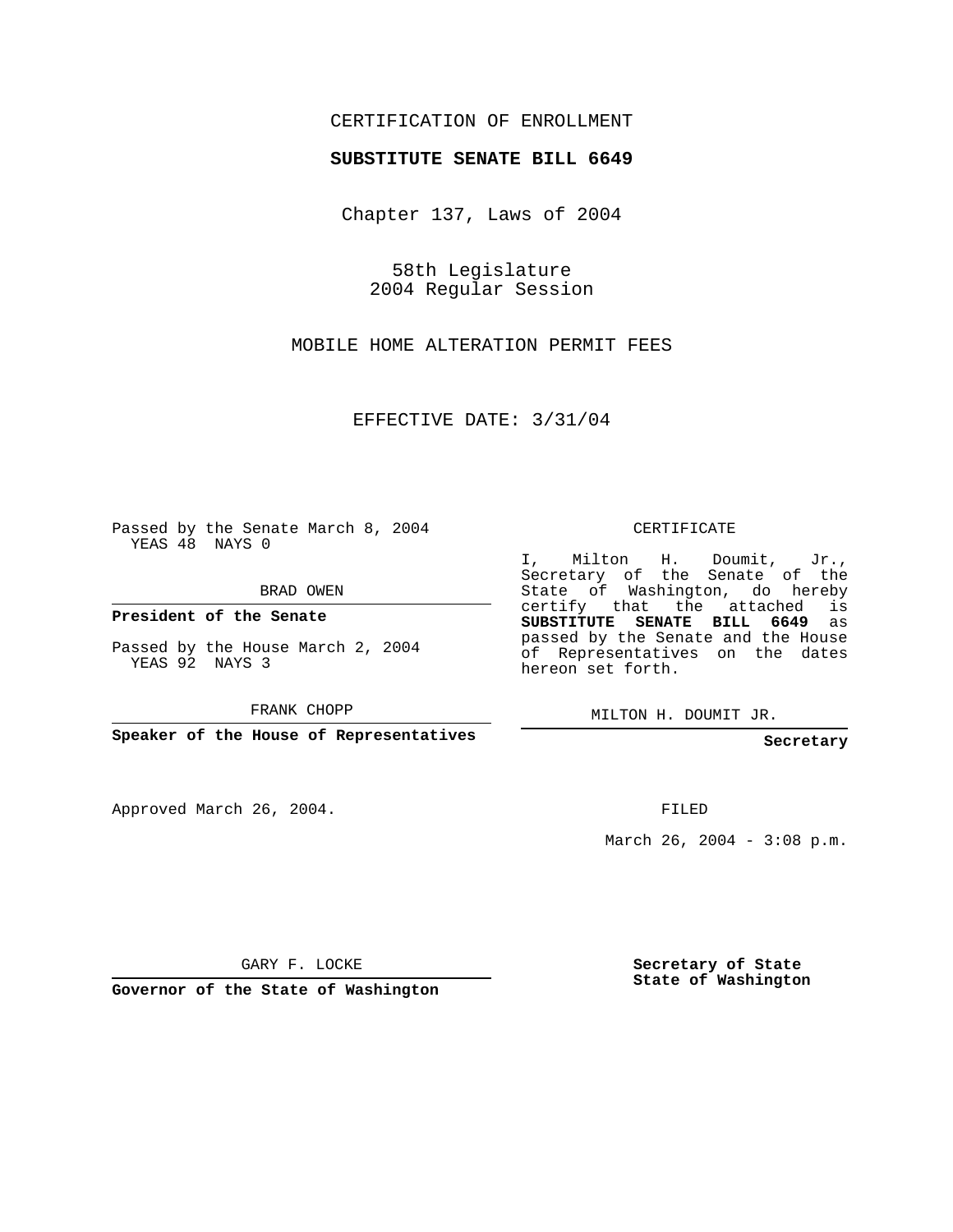## CERTIFICATION OF ENROLLMENT

#### **SUBSTITUTE SENATE BILL 6649**

Chapter 137, Laws of 2004

58th Legislature 2004 Regular Session

MOBILE HOME ALTERATION PERMIT FEES

EFFECTIVE DATE: 3/31/04

Passed by the Senate March 8, 2004 YEAS 48 NAYS 0

BRAD OWEN

**President of the Senate**

Passed by the House March 2, 2004 YEAS 92 NAYS 3

FRANK CHOPP

**Speaker of the House of Representatives**

Approved March 26, 2004.

CERTIFICATE

I, Milton H. Doumit, Jr., Secretary of the Senate of the State of Washington, do hereby certify that the attached is **SUBSTITUTE SENATE BILL 6649** as passed by the Senate and the House of Representatives on the dates hereon set forth.

MILTON H. DOUMIT JR.

**Secretary**

FILED

March 26, 2004 - 3:08 p.m.

GARY F. LOCKE

**Governor of the State of Washington**

**Secretary of State State of Washington**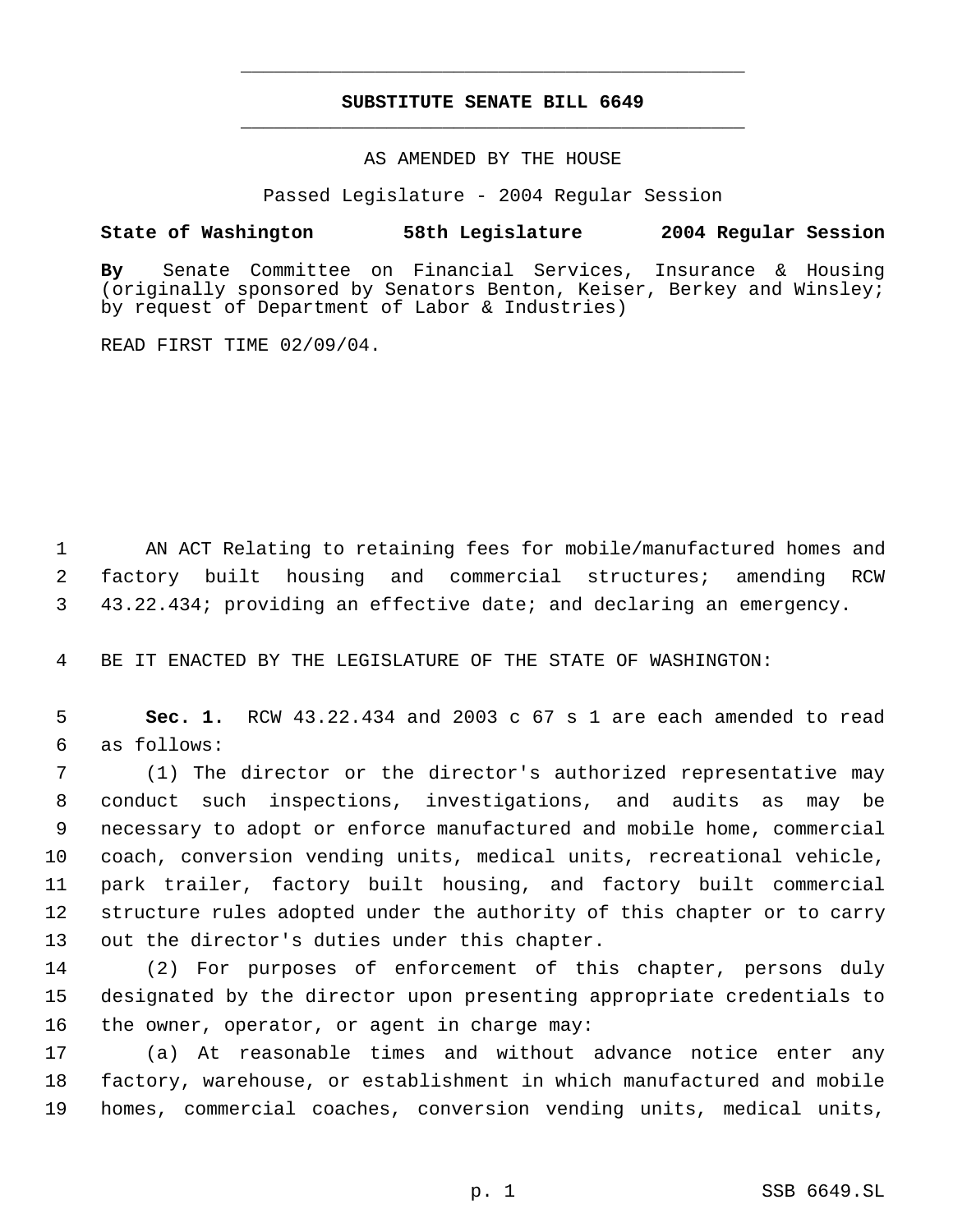# **SUBSTITUTE SENATE BILL 6649** \_\_\_\_\_\_\_\_\_\_\_\_\_\_\_\_\_\_\_\_\_\_\_\_\_\_\_\_\_\_\_\_\_\_\_\_\_\_\_\_\_\_\_\_\_

\_\_\_\_\_\_\_\_\_\_\_\_\_\_\_\_\_\_\_\_\_\_\_\_\_\_\_\_\_\_\_\_\_\_\_\_\_\_\_\_\_\_\_\_\_

### AS AMENDED BY THE HOUSE

Passed Legislature - 2004 Regular Session

### **State of Washington 58th Legislature 2004 Regular Session**

**By** Senate Committee on Financial Services, Insurance & Housing (originally sponsored by Senators Benton, Keiser, Berkey and Winsley; by request of Department of Labor & Industries)

READ FIRST TIME 02/09/04.

 1 AN ACT Relating to retaining fees for mobile/manufactured homes and 2 factory built housing and commercial structures; amending RCW 3 43.22.434; providing an effective date; and declaring an emergency.

4 BE IT ENACTED BY THE LEGISLATURE OF THE STATE OF WASHINGTON:

 5 **Sec. 1.** RCW 43.22.434 and 2003 c 67 s 1 are each amended to read 6 as follows:

 (1) The director or the director's authorized representative may conduct such inspections, investigations, and audits as may be necessary to adopt or enforce manufactured and mobile home, commercial coach, conversion vending units, medical units, recreational vehicle, park trailer, factory built housing, and factory built commercial structure rules adopted under the authority of this chapter or to carry out the director's duties under this chapter.

14 (2) For purposes of enforcement of this chapter, persons duly 15 designated by the director upon presenting appropriate credentials to 16 the owner, operator, or agent in charge may:

17 (a) At reasonable times and without advance notice enter any 18 factory, warehouse, or establishment in which manufactured and mobile 19 homes, commercial coaches, conversion vending units, medical units,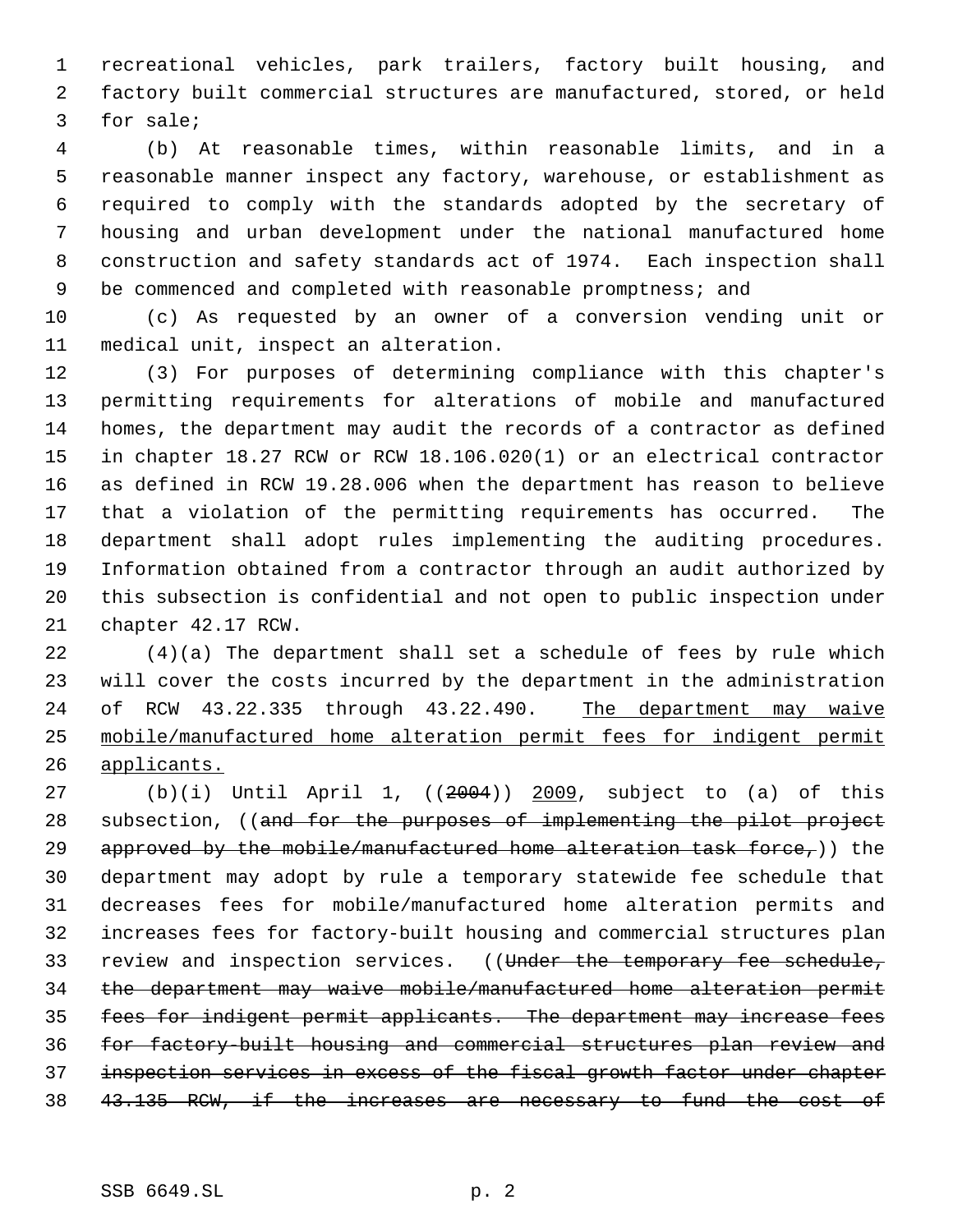recreational vehicles, park trailers, factory built housing, and factory built commercial structures are manufactured, stored, or held for sale;

 (b) At reasonable times, within reasonable limits, and in a reasonable manner inspect any factory, warehouse, or establishment as required to comply with the standards adopted by the secretary of housing and urban development under the national manufactured home construction and safety standards act of 1974. Each inspection shall 9 be commenced and completed with reasonable promptness; and

 (c) As requested by an owner of a conversion vending unit or medical unit, inspect an alteration.

 (3) For purposes of determining compliance with this chapter's permitting requirements for alterations of mobile and manufactured homes, the department may audit the records of a contractor as defined in chapter 18.27 RCW or RCW 18.106.020(1) or an electrical contractor as defined in RCW 19.28.006 when the department has reason to believe that a violation of the permitting requirements has occurred. The department shall adopt rules implementing the auditing procedures. Information obtained from a contractor through an audit authorized by this subsection is confidential and not open to public inspection under chapter 42.17 RCW.

 (4)(a) The department shall set a schedule of fees by rule which will cover the costs incurred by the department in the administration 24 of RCW 43.22.335 through 43.22.490. The department may waive mobile/manufactured home alteration permit fees for indigent permit applicants.

 (b)(i) Until April 1, ((2004)) 2009, subject to (a) of this 28 subsection, ((and for the purposes of implementing the pilot project 29 approved by the mobile/manufactured home alteration task force,)) the department may adopt by rule a temporary statewide fee schedule that decreases fees for mobile/manufactured home alteration permits and increases fees for factory-built housing and commercial structures plan 33 review and inspection services. ((Under the temporary fee schedule, the department may waive mobile/manufactured home alteration permit fees for indigent permit applicants. The department may increase fees for factory-built housing and commercial structures plan review and inspection services in excess of the fiscal growth factor under chapter 43.135 RCW, if the increases are necessary to fund the cost of